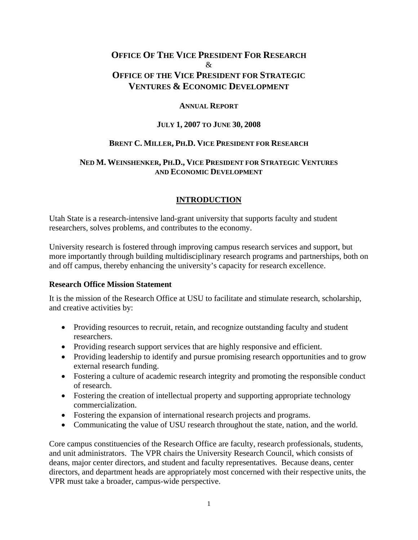## **OFFICE OF THE VICE PRESIDENT FOR RESEARCH** & **OFFICE OF THE VICE PRESIDENT FOR STRATEGIC VENTURES & ECONOMIC DEVELOPMENT**

## **ANNUAL REPORT**

#### **JULY 1, 2007 TO JUNE 30, 2008**

#### **BRENT C. MILLER, PH.D. VICE PRESIDENT FOR RESEARCH**

## **NED M. WEINSHENKER, PH.D., VICE PRESIDENT FOR STRATEGIC VENTURES AND ECONOMIC DEVELOPMENT**

## **INTRODUCTION**

Utah State is a research-intensive land-grant university that supports faculty and student researchers, solves problems, and contributes to the economy.

University research is fostered through improving campus research services and support, but more importantly through building multidisciplinary research programs and partnerships, both on and off campus, thereby enhancing the university's capacity for research excellence.

## **Research Office Mission Statement**

It is the mission of the Research Office at USU to facilitate and stimulate research, scholarship, and creative activities by:

- Providing resources to recruit, retain, and recognize outstanding faculty and student researchers.
- Providing research support services that are highly responsive and efficient.
- Providing leadership to identify and pursue promising research opportunities and to grow external research funding.
- Fostering a culture of academic research integrity and promoting the responsible conduct of research.
- Fostering the creation of intellectual property and supporting appropriate technology commercialization.
- Fostering the expansion of international research projects and programs.
- Communicating the value of USU research throughout the state, nation, and the world.

Core campus constituencies of the Research Office are faculty, research professionals, students, and unit administrators. The VPR chairs the University Research Council, which consists of deans, major center directors, and student and faculty representatives. Because deans, center directors, and department heads are appropriately most concerned with their respective units, the VPR must take a broader, campus-wide perspective.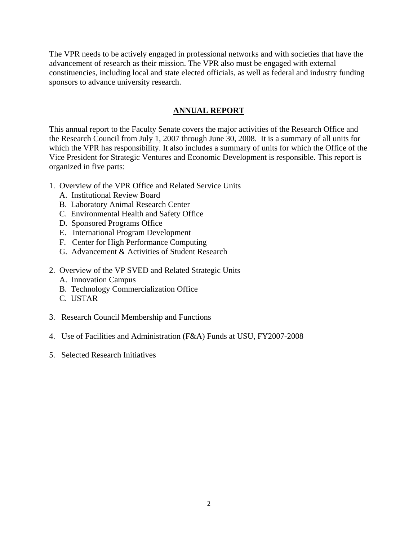The VPR needs to be actively engaged in professional networks and with societies that have the advancement of research as their mission. The VPR also must be engaged with external constituencies, including local and state elected officials, as well as federal and industry funding sponsors to advance university research.

## **ANNUAL REPORT**

This annual report to the Faculty Senate covers the major activities of the Research Office and the Research Council from July 1, 2007 through June 30, 2008. It is a summary of all units for which the VPR has responsibility. It also includes a summary of units for which the Office of the Vice President for Strategic Ventures and Economic Development is responsible. This report is organized in five parts:

- 1. Overview of the VPR Office and Related Service Units
	- A. Institutional Review Board
	- B. Laboratory Animal Research Center
	- C. Environmental Health and Safety Office
	- D. Sponsored Programs Office
	- E. International Program Development
	- F. Center for High Performance Computing
	- G. Advancement & Activities of Student Research
- 2. Overview of the VP SVED and Related Strategic Units
	- A. Innovation Campus
	- B. Technology Commercialization Office
	- C. USTAR
- 3. Research Council Membership and Functions
- 4. Use of Facilities and Administration (F&A) Funds at USU, FY2007-2008
- 5. Selected Research Initiatives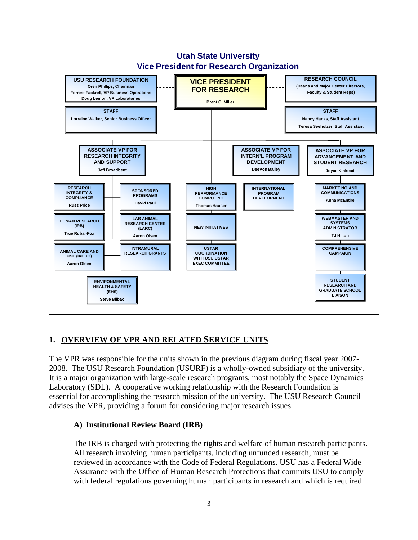

## **Utah State University Vice President for Research Organization**

## **1. OVERVIEW OF VPR AND RELATED SERVICE UNITS**

The VPR was responsible for the units shown in the previous diagram during fiscal year 2007- 2008. The USU Research Foundation (USURF) is a wholly-owned subsidiary of the university. It is a major organization with large-scale research programs, most notably the Space Dynamics Laboratory (SDL). A cooperative working relationship with the Research Foundation is essential for accomplishing the research mission of the university. The USU Research Council advises the VPR, providing a forum for considering major research issues.

## **A) Institutional Review Board (IRB)**

The IRB is charged with protecting the rights and welfare of human research participants. All research involving human participants, including unfunded research, must be reviewed in accordance with the Code of Federal Regulations. USU has a Federal Wide Assurance with the Office of Human Research Protections that commits USU to comply with federal regulations governing human participants in research and which is required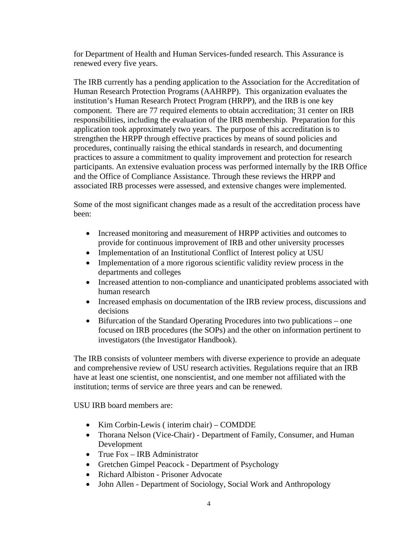for Department of Health and Human Services-funded research. This Assurance is renewed every five years.

The IRB currently has a pending application to the Association for the Accreditation of Human Research Protection Programs (AAHRPP). This organization evaluates the institution's Human Research Protect Program (HRPP), and the IRB is one key component. There are 77 required elements to obtain accreditation; 31 center on IRB responsibilities, including the evaluation of the IRB membership. Preparation for this application took approximately two years. The purpose of this accreditation is to strengthen the HRPP through effective practices by means of sound policies and procedures, continually raising the ethical standards in research, and documenting practices to assure a commitment to quality improvement and protection for research participants. An extensive evaluation process was performed internally by the IRB Office and the Office of Compliance Assistance. Through these reviews the HRPP and associated IRB processes were assessed, and extensive changes were implemented.

Some of the most significant changes made as a result of the accreditation process have been:

- Increased monitoring and measurement of HRPP activities and outcomes to provide for continuous improvement of IRB and other university processes
- Implementation of an Institutional Conflict of Interest policy at USU
- Implementation of a more rigorous scientific validity review process in the departments and colleges
- Increased attention to non-compliance and unanticipated problems associated with human research
- Increased emphasis on documentation of the IRB review process, discussions and decisions
- Bifurcation of the Standard Operating Procedures into two publications one focused on IRB procedures (the SOPs) and the other on information pertinent to investigators (the Investigator Handbook).

The IRB consists of volunteer members with diverse experience to provide an adequate and comprehensive review of USU research activities. Regulations require that an IRB have at least one scientist, one nonscientist, and one member not affiliated with the institution; terms of service are three years and can be renewed.

USU IRB board members are:

- Kim Corbin-Lewis ( interim chair) COMDDE
- Thorana Nelson (Vice-Chair) Department of Family, Consumer, and Human Development
- True Fox IRB Administrator
- Gretchen Gimpel Peacock Department of Psychology
- Richard Albiston Prisoner Advocate
- John Allen Department of Sociology, Social Work and Anthropology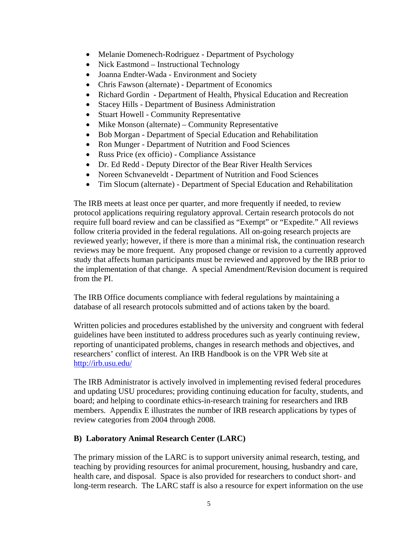- Melanie Domenech-Rodriguez Department of Psychology
- Nick Eastmond Instructional Technology
- Joanna Endter-Wada Environment and Society
- Chris Fawson (alternate) Department of Economics
- Richard Gordin Department of Health, Physical Education and Recreation
- Stacey Hills Department of Business Administration
- Stuart Howell Community Representative
- Mike Monson (alternate) Community Representative
- Bob Morgan Department of Special Education and Rehabilitation
- Ron Munger Department of Nutrition and Food Sciences
- Russ Price (ex officio) Compliance Assistance
- Dr. Ed Redd Deputy Director of the Bear River Health Services
- Noreen Schvaneveldt Department of Nutrition and Food Sciences
- Tim Slocum (alternate) Department of Special Education and Rehabilitation

The IRB meets at least once per quarter, and more frequently if needed, to review protocol applications requiring regulatory approval. Certain research protocols do not require full board review and can be classified as "Exempt" or "Expedite." All reviews follow criteria provided in the federal regulations. All on-going research projects are reviewed yearly; however, if there is more than a minimal risk, the continuation research reviews may be more frequent. Any proposed change or revision to a currently approved study that affects human participants must be reviewed and approved by the IRB prior to the implementation of that change. A special Amendment/Revision document is required from the PI.

The IRB Office documents compliance with federal regulations by maintaining a database of all research protocols submitted and of actions taken by the board.

Written policies and procedures established by the university and congruent with federal guidelines have been instituted to address procedures such as yearly continuing review, reporting of unanticipated problems, changes in research methods and objectives, and researchers' conflict of interest. An IRB Handbook is on the VPR Web site at <http://irb.usu.edu/>

The IRB Administrator is actively involved in implementing revised federal procedures and updating USU procedures; providing continuing education for faculty, students, and board; and helping to coordinate ethics-in-research training for researchers and IRB members. Appendix E illustrates the number of IRB research applications by types of review categories from 2004 through 2008.

## **B) Laboratory Animal Research Center (LARC)**

The primary mission of the LARC is to support university animal research, testing, and teaching by providing resources for animal procurement, housing, husbandry and care, health care, and disposal. Space is also provided for researchers to conduct short- and long-term research. The LARC staff is also a resource for expert information on the use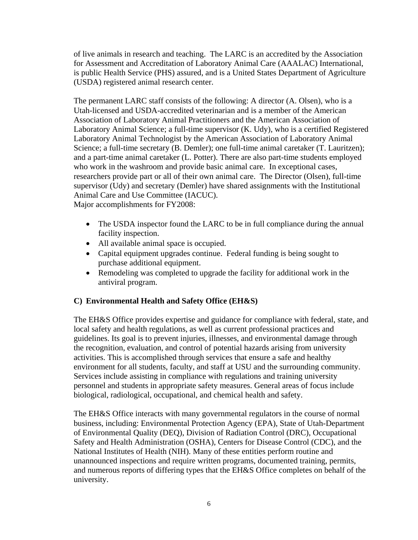of live animals in research and teaching. The LARC is an accredited by the Association for Assessment and Accreditation of Laboratory Animal Care (AAALAC) International, is public Health Service (PHS) assured, and is a United States Department of Agriculture (USDA) registered animal research center.

The permanent LARC staff consists of the following: A director (A. Olsen), who is a Utah-licensed and USDA-accredited veterinarian and is a member of the American Association of Laboratory Animal Practitioners and the American Association of Laboratory Animal Science; a full-time supervisor (K. Udy), who is a certified Registered Laboratory Animal Technologist by the American Association of Laboratory Animal Science; a full-time secretary (B. Demler); one full-time animal caretaker (T. Lauritzen); and a part-time animal caretaker (L. Potter). There are also part-time students employed who work in the washroom and provide basic animal care. In exceptional cases, researchers provide part or all of their own animal care. The Director (Olsen), full-time supervisor (Udy) and secretary (Demler) have shared assignments with the Institutional Animal Care and Use Committee (IACUC). Major accomplishments for FY2008:

- The USDA inspector found the LARC to be in full compliance during the annual facility inspection.
- All available animal space is occupied.
- Capital equipment upgrades continue. Federal funding is being sought to purchase additional equipment.
- Remodeling was completed to upgrade the facility for additional work in the antiviral program.

## **C) Environmental Health and Safety Office (EH&S)**

The EH&S Office provides expertise and guidance for compliance with federal, state, and local safety and health regulations, as well as current professional practices and guidelines. Its goal is to prevent injuries, illnesses, and environmental damage through the recognition, evaluation, and control of potential hazards arising from university activities. This is accomplished through services that ensure a safe and healthy environment for all students, faculty, and staff at USU and the surrounding community. Services include assisting in compliance with regulations and training university personnel and students in appropriate safety measures. General areas of focus include biological, radiological, occupational, and chemical health and safety.

The EH&S Office interacts with many governmental regulators in the course of normal business, including: Environmental Protection Agency (EPA), State of Utah-Department of Environmental Quality (DEQ), Division of Radiation Control (DRC), Occupational Safety and Health Administration (OSHA), Centers for Disease Control (CDC), and the National Institutes of Health (NIH). Many of these entities perform routine and unannounced inspections and require written programs, documented training, permits, and numerous reports of differing types that the EH&S Office completes on behalf of the university.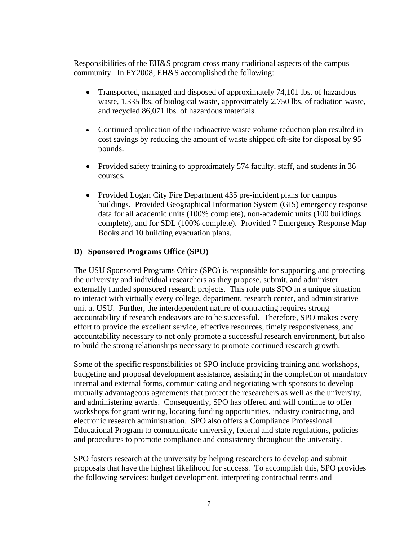Responsibilities of the EH&S program cross many traditional aspects of the campus community. In FY2008, EH&S accomplished the following:

- Transported, managed and disposed of approximately 74,101 lbs. of hazardous waste, 1,335 lbs. of biological waste, approximately 2,750 lbs. of radiation waste, and recycled 86,071 lbs. of hazardous materials.
- Continued application of the radioactive waste volume reduction plan resulted in cost savings by reducing the amount of waste shipped off-site for disposal by 95 pounds.
- Provided safety training to approximately 574 faculty, staff, and students in 36 courses.
- Provided Logan City Fire Department 435 pre-incident plans for campus buildings. Provided Geographical Information System (GIS) emergency response data for all academic units (100% complete), non-academic units (100 buildings complete), and for SDL (100% complete). Provided 7 Emergency Response Map Books and 10 building evacuation plans.

## **D) Sponsored Programs Office (SPO)**

The USU Sponsored Programs Office (SPO) is responsible for supporting and protecting the university and individual researchers as they propose, submit, and administer externally funded sponsored research projects. This role puts SPO in a unique situation to interact with virtually every college, department, research center, and administrative unit at USU. Further, the interdependent nature of contracting requires strong accountability if research endeavors are to be successful. Therefore, SPO makes every effort to provide the excellent service, effective resources, timely responsiveness, and accountability necessary to not only promote a successful research environment, but also to build the strong relationships necessary to promote continued research growth.

Some of the specific responsibilities of SPO include providing training and workshops, budgeting and proposal development assistance, assisting in the completion of mandatory internal and external forms, communicating and negotiating with sponsors to develop mutually advantageous agreements that protect the researchers as well as the university, and administering awards. Consequently, SPO has offered and will continue to offer workshops for grant writing, locating funding opportunities, industry contracting, and electronic research administration. SPO also offers a Compliance Professional Educational Program to communicate university, federal and state regulations, policies and procedures to promote compliance and consistency throughout the university.

SPO fosters research at the university by helping researchers to develop and submit proposals that have the highest likelihood for success. To accomplish this, SPO provides the following services: budget development, interpreting contractual terms and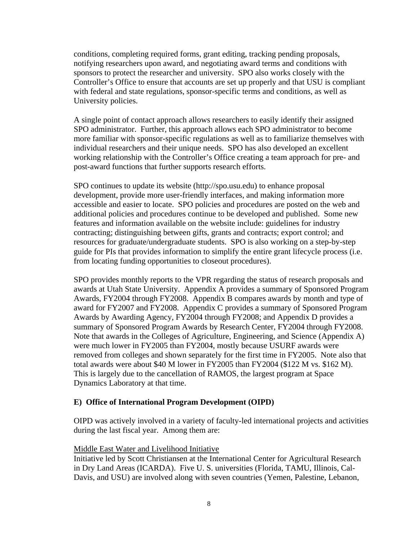conditions, completing required forms, grant editing, tracking pending proposals, notifying researchers upon award, and negotiating award terms and conditions with sponsors to protect the researcher and university. SPO also works closely with the Controller's Office to ensure that accounts are set up properly and that USU is compliant with federal and state regulations, sponsor-specific terms and conditions, as well as University policies.

A single point of contact approach allows researchers to easily identify their assigned SPO administrator. Further, this approach allows each SPO administrator to become more familiar with sponsor-specific regulations as well as to familiarize themselves with individual researchers and their unique needs. SPO has also developed an excellent working relationship with the Controller's Office creating a team approach for pre- and post-award functions that further supports research efforts.

SPO continues to update its website (http://spo.usu.edu) to enhance proposal development, provide more user-friendly interfaces, and making information more accessible and easier to locate. SPO policies and procedures are posted on the web and additional policies and procedures continue to be developed and published. Some new features and information available on the website include: guidelines for industry contracting; distinguishing between gifts, grants and contracts; export control; and resources for graduate/undergraduate students. SPO is also working on a step-by-step guide for PIs that provides information to simplify the entire grant lifecycle process (i.e. from locating funding opportunities to closeout procedures).

SPO provides monthly reports to the VPR regarding the status of research proposals and awards at Utah State University. Appendix A provides a summary of Sponsored Program Awards, FY2004 through FY2008. Appendix B compares awards by month and type of award for FY2007 and FY2008. Appendix C provides a summary of Sponsored Program Awards by Awarding Agency, FY2004 through FY2008; and Appendix D provides a summary of Sponsored Program Awards by Research Center, FY2004 through FY2008. Note that awards in the Colleges of Agriculture, Engineering, and Science (Appendix A) were much lower in FY2005 than FY2004, mostly because USURF awards were removed from colleges and shown separately for the first time in FY2005. Note also that total awards were about \$40 M lower in FY2005 than FY2004 (\$122 M vs. \$162 M). This is largely due to the cancellation of RAMOS, the largest program at Space Dynamics Laboratory at that time.

## **E) Office of International Program Development (OIPD)**

OIPD was actively involved in a variety of faculty-led international projects and activities during the last fiscal year. Among them are:

## Middle East Water and Livelihood Initiative

Initiative led by Scott Christiansen at the International Center for Agricultural Research in Dry Land Areas (ICARDA). Five U. S. universities (Florida, TAMU, Illinois, Cal-Davis, and USU) are involved along with seven countries (Yemen, Palestine, Lebanon,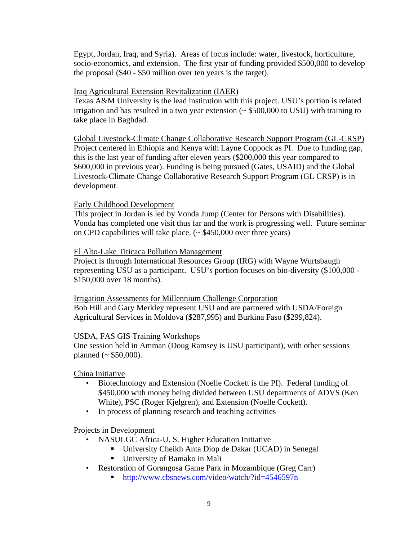Egypt, Jordan, Iraq, and Syria). Areas of focus include: water, livestock, horticulture, socio-economics, and extension. The first year of funding provided \$500,000 to develop the proposal (\$40 - \$50 million over ten years is the target).

## Iraq Agricultural Extension Revitalization (IAER)

Texas A&M University is the lead institution with this project. USU's portion is related irrigation and has resulted in a two year extension (~ \$500,000 to USU) with training to take place in Baghdad.

Global Livestock-Climate Change Collaborative Research Support Program (GL-CRSP) Project centered in Ethiopia and Kenya with Layne Coppock as PI. Due to funding gap, this is the last year of funding after eleven years (\$200,000 this year compared to \$600,000 in previous year). Funding is being pursued (Gates, USAID) and the Global Livestock-Climate Change Collaborative Research Support Program (GL CRSP) is in development.

## Early Childhood Development

This project in Jordan is led by Vonda Jump (Center for Persons with Disabilities). Vonda has completed one visit thus far and the work is progressing well. Future seminar on CPD capabilities will take place.  $(\sim $450,000$  over three years)

## El Alto-Lake Titicaca Pollution Management

Project is through International Resources Group (IRG) with Wayne Wurtsbaugh representing USU as a participant. USU's portion focuses on bio-diversity (\$100,000 - \$150,000 over 18 months).

## Irrigation Assessments for Millennium Challenge Corporation

Bob Hill and Gary Merkley represent USU and are partnered with USDA/Foreign Agricultural Services in Moldova (\$287,995) and Burkina Faso (\$299,824).

## USDA, FAS GIS Training Workshops

One session held in Amman (Doug Ramsey is USU participant), with other sessions planned ( $\sim$  \$50,000).

China Initiative

- Biotechnology and Extension (Noelle Cockett is the PI). Federal funding of \$450,000 with money being divided between USU departments of ADVS (Ken White), PSC (Roger Kjelgren), and Extension (Noelle Cockett).
- In process of planning research and teaching activities

## Projects in Development

- NASULGC Africa-U. S. Higher Education Initiative
	- University Cheikh Anta Diop de Dakar (UCAD) in Senegal
	- University of Bamako in Mali
- Restoration of Gorangosa Game Park in Mozambique (Greg Carr)
	- http://www.cbsnews.com/video/watch/?id=4546597n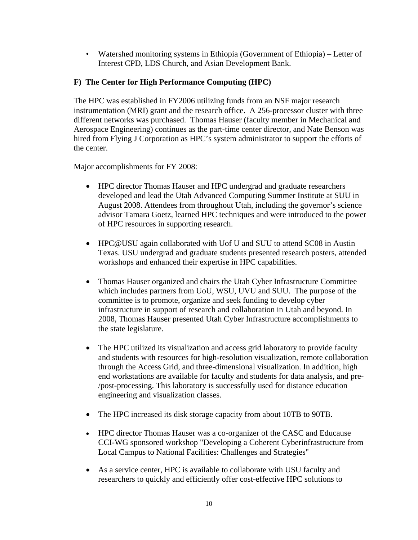• Watershed monitoring systems in Ethiopia (Government of Ethiopia) – Letter of Interest CPD, LDS Church, and Asian Development Bank.

## **F) The Center for High Performance Computing (HPC)**

The HPC was established in FY2006 utilizing funds from an NSF major research instrumentation (MRI) grant and the research office. A 256-processor cluster with three different networks was purchased. Thomas Hauser (faculty member in Mechanical and Aerospace Engineering) continues as the part-time center director, and Nate Benson was hired from Flying J Corporation as HPC's system administrator to support the efforts of the center.

Major accomplishments for FY 2008:

- HPC director Thomas Hauser and HPC undergrad and graduate researchers developed and lead the Utah Advanced Computing Summer Institute at SUU in August 2008. Attendees from throughout Utah, including the governor's science advisor Tamara Goetz, learned HPC techniques and were introduced to the power of HPC resources in supporting research.
- HPC@USU again collaborated with Uof U and SUU to attend SC08 in Austin Texas. USU undergrad and graduate students presented research posters, attended workshops and enhanced their expertise in HPC capabilities.
- Thomas Hauser organized and chairs the Utah Cyber Infrastructure Committee which includes partners from UoU, WSU, UVU and SUU. The purpose of the committee is to promote, organize and seek funding to develop cyber infrastructure in support of research and collaboration in Utah and beyond. In 2008, Thomas Hauser presented Utah Cyber Infrastructure accomplishments to the state legislature.
- The HPC utilized its visualization and access grid laboratory to provide faculty and students with resources for high-resolution visualization, remote collaboration through the Access Grid, and three-dimensional visualization. In addition, high end workstations are available for faculty and students for data analysis, and pre- /post-processing. This laboratory is successfully used for distance education engineering and visualization classes.
- The HPC increased its disk storage capacity from about 10TB to 90TB.
- HPC director Thomas Hauser was a co-organizer of the CASC and Educause CCI-WG sponsored workshop "Developing a Coherent Cyberinfrastructure from Local Campus to National Facilities: Challenges and Strategies"
- As a service center, HPC is available to collaborate with USU faculty and researchers to quickly and efficiently offer cost-effective HPC solutions to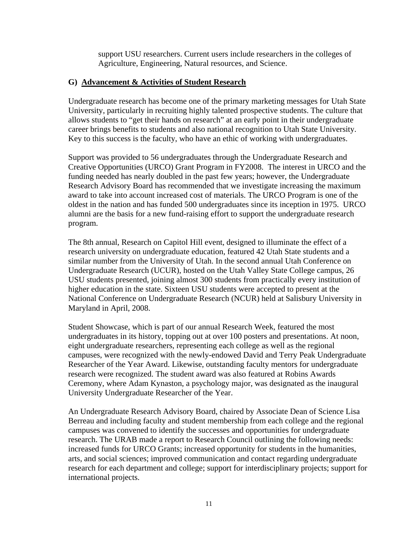support USU researchers. Current users include researchers in the colleges of Agriculture, Engineering, Natural resources, and Science.

## **G) Advancement & Activities of Student Research**

Undergraduate research has become one of the primary marketing messages for Utah State University, particularly in recruiting highly talented prospective students. The culture that allows students to "get their hands on research" at an early point in their undergraduate career brings benefits to students and also national recognition to Utah State University. Key to this success is the faculty, who have an ethic of working with undergraduates.

 Support was provided to 56 undergraduates through the Undergraduate Research and Creative Opportunities (URCO) Grant Program in FY2008. The interest in URCO and the funding needed has nearly doubled in the past few years; however, the Undergraduate Research Advisory Board has recommended that we investigate increasing the maximum award to take into account increased cost of materials. The URCO Program is one of the oldest in the nation and has funded 500 undergraduates since its inception in 1975. URCO alumni are the basis for a new fund-raising effort to support the undergraduate research program.

The 8th annual, Research on Capitol Hill event, designed to illuminate the effect of a research university on undergraduate education, featured 42 Utah State students and a similar number from the University of Utah. In the second annual Utah Conference on Undergraduate Research (UCUR), hosted on the Utah Valley State College campus, 26 USU students presented, joining almost 300 students from practically every institution of higher education in the state. Sixteen USU students were accepted to present at the National Conference on Undergraduate Research (NCUR) held at Salisbury University in Maryland in April, 2008.

Student Showcase, which is part of our annual Research Week, featured the most undergraduates in its history, topping out at over 100 posters and presentations. At noon, eight undergraduate researchers, representing each college as well as the regional campuses, were recognized with the newly-endowed David and Terry Peak Undergraduate Researcher of the Year Award. Likewise, outstanding faculty mentors for undergraduate research were recognized. The student award was also featured at Robins Awards Ceremony, where Adam Kynaston, a psychology major, was designated as the inaugural University Undergraduate Researcher of the Year.

An Undergraduate Research Advisory Board, chaired by Associate Dean of Science Lisa Berreau and including faculty and student membership from each college and the regional campuses was convened to identify the successes and opportunities for undergraduate research. The URAB made a report to Research Council outlining the following needs: increased funds for URCO Grants; increased opportunity for students in the humanities, arts, and social sciences; improved communication and contact regarding undergraduate research for each department and college; support for interdisciplinary projects; support for international projects.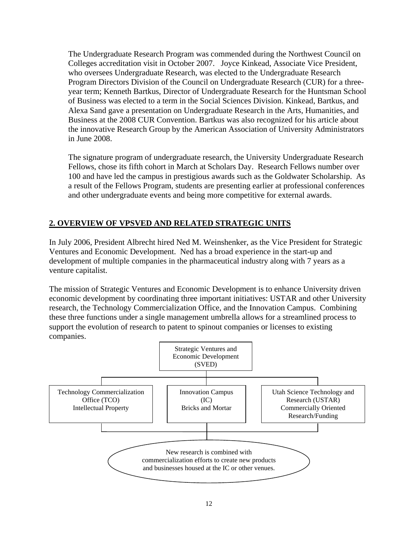The Undergraduate Research Program was commended during the Northwest Council on Colleges accreditation visit in October 2007. Joyce Kinkead, Associate Vice President, who oversees Undergraduate Research, was elected to the Undergraduate Research Program Directors Division of the Council on Undergraduate Research (CUR) for a threeyear term; Kenneth Bartkus, Director of Undergraduate Research for the Huntsman School of Business was elected to a term in the Social Sciences Division. Kinkead, Bartkus, and Alexa Sand gave a presentation on Undergraduate Research in the Arts, Humanities, and Business at the 2008 CUR Convention. Bartkus was also recognized for his article about the innovative Research Group by the American Association of University Administrators in June 2008.

The signature program of undergraduate research, the University Undergraduate Research Fellows, chose its fifth cohort in March at Scholars Day. Research Fellows number over 100 and have led the campus in prestigious awards such as the Goldwater Scholarship. As a result of the Fellows Program, students are presenting earlier at professional conferences and other undergraduate events and being more competitive for external awards.

## **2. OVERVIEW OF VPSVED AND RELATED STRATEGIC UNITS**

In July 2006, President Albrecht hired Ned M. Weinshenker, as the Vice President for Strategic Ventures and Economic Development. Ned has a broad experience in the start-up and development of multiple companies in the pharmaceutical industry along with 7 years as a venture capitalist.

The mission of Strategic Ventures and Economic Development is to enhance University driven economic development by coordinating three important initiatives: USTAR and other University research, the Technology Commercialization Office, and the Innovation Campus. Combining these three functions under a single management umbrella allows for a streamlined process to support the evolution of research to patent to spinout companies or licenses to existing companies.

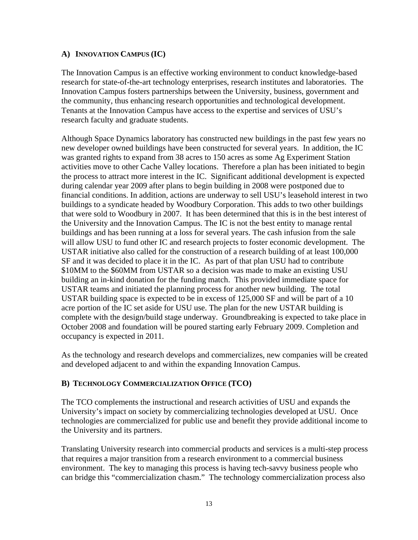## **A) INNOVATION CAMPUS (IC)**

The Innovation Campus is an effective working environment to conduct knowledge-based research for state-of-the-art technology enterprises, research institutes and laboratories. The Innovation Campus fosters partnerships between the University, business, government and the community, thus enhancing research opportunities and technological development. Tenants at the Innovation Campus have access to the expertise and services of USU's research faculty and graduate students.

Although Space Dynamics laboratory has constructed new buildings in the past few years no new developer owned buildings have been constructed for several years. In addition, the IC was granted rights to expand from 38 acres to 150 acres as some Ag Experiment Station activities move to other Cache Valley locations. Therefore a plan has been initiated to begin the process to attract more interest in the IC. Significant additional development is expected during calendar year 2009 after plans to begin building in 2008 were postponed due to financial conditions. In addition, actions are underway to sell USU's leasehold interest in two buildings to a syndicate headed by Woodbury Corporation. This adds to two other buildings that were sold to Woodbury in 2007. It has been determined that this is in the best interest of the University and the Innovation Campus. The IC is not the best entity to manage rental buildings and has been running at a loss for several years. The cash infusion from the sale will allow USU to fund other IC and research projects to foster economic development. The USTAR initiative also called for the construction of a research building of at least 100,000 SF and it was decided to place it in the IC. As part of that plan USU had to contribute \$10MM to the \$60MM from USTAR so a decision was made to make an existing USU building an in-kind donation for the funding match. This provided immediate space for USTAR teams and initiated the planning process for another new building. The total USTAR building space is expected to be in excess of 125,000 SF and will be part of a 10 acre portion of the IC set aside for USU use. The plan for the new USTAR building is complete with the design/build stage underway. Groundbreaking is expected to take place in October 2008 and foundation will be poured starting early February 2009. Completion and occupancy is expected in 2011.

As the technology and research develops and commercializes, new companies will be created and developed adjacent to and within the expanding Innovation Campus.

## **B) TECHNOLOGY COMMERCIALIZATION OFFICE (TCO)**

The TCO complements the instructional and research activities of USU and expands the University's impact on society by commercializing technologies developed at USU. Once technologies are commercialized for public use and benefit they provide additional income to the University and its partners.

Translating University research into commercial products and services is a multi-step process that requires a major transition from a research environment to a commercial business environment. The key to managing this process is having tech-savvy business people who can bridge this "commercialization chasm." The technology commercialization process also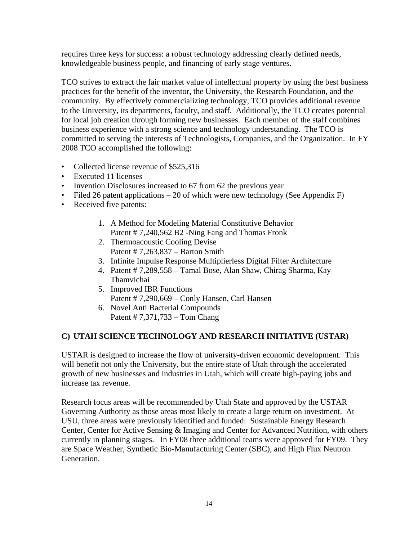requires three keys for success: a robust technology addressing clearly defined needs, knowledgeable business people, and financing of early stage ventures.

TCO strives to extract the fair market value of intellectual property by using the best business practices for the benefit of the inventor, the University, the Research Foundation, and the community. By effectively commercializing technology, TCO provides additional revenue to the University, its departments, faculty, and staff. Additionally, the TCO creates potential for local job creation through forming new businesses. Each member of the staff combines business experience with a strong science and technology understanding. The TCO is committed to serving the interests of Technologists, Companies, and the Organization. In FY 2008 TCO accomplished the following:

- Collected license revenue of \$525,316
- Executed 11 licenses
- Invention Disclosures increased to 67 from 62 the previous year
- Filed 26 patent applications  $-20$  of which were new technology (See Appendix F)
- Received five patents:
	- 1. A Method for Modeling Material Constitutive Behavior Patent # 7,240,562 B2 -Ning Fang and Thomas Fronk
	- 2. Thermoacoustic Cooling Devise Patent # 7,263,837 – Barton Smith
	- 3. Infinite Impulse Response Multiplierless Digital Filter Architecture
	- 4. Patent # 7,289,558 Tamal Bose, Alan Shaw, Chirag Sharma, Kay Thamvichai
	- 5. Improved IBR Functions Patent # 7,290,669 – Conly Hansen, Carl Hansen
	- 6. Novel Anti Bacterial Compounds Patent # 7,371,733 – Tom Chang

## **C) UTAH SCIENCE TECHNOLOGY AND RESEARCH INITIATIVE (USTAR)**

USTAR is designed to increase the flow of university-driven economic development. This will benefit not only the University, but the entire state of Utah through the accelerated growth of new businesses and industries in Utah, which will create high-paying jobs and increase tax revenue.

Research focus areas will be recommended by Utah State and approved by the USTAR Governing Authority as those areas most likely to create a large return on investment. At USU, three areas were previously identified and funded: Sustainable Energy Research Center, Center for Active Sensing & Imaging and Center for Advanced Nutrition, with others currently in planning stages. In FY08 three additional teams were approved for FY09. They are Space Weather, Synthetic Bio-Manufacturing Center (SBC), and High Flux Neutron Generation.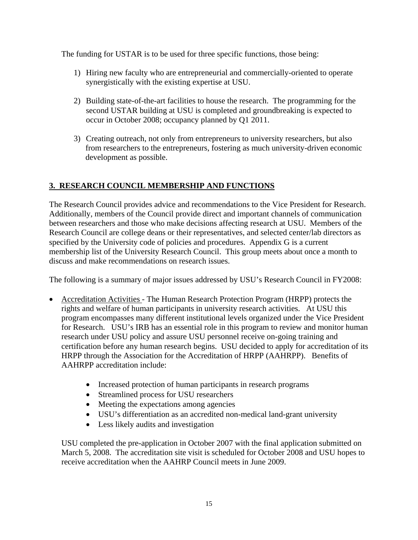The funding for USTAR is to be used for three specific functions, those being:

- 1) Hiring new faculty who are entrepreneurial and commercially-oriented to operate synergistically with the existing expertise at USU.
- 2) Building state-of-the-art facilities to house the research. The programming for the second USTAR building at USU is completed and groundbreaking is expected to occur in October 2008; occupancy planned by Q1 2011.
- 3) Creating outreach, not only from entrepreneurs to university researchers, but also from researchers to the entrepreneurs, fostering as much university-driven economic development as possible.

## **3. RESEARCH COUNCIL MEMBERSHIP AND FUNCTIONS**

The Research Council provides advice and recommendations to the Vice President for Research. Additionally, members of the Council provide direct and important channels of communication between researchers and those who make decisions affecting research at USU. Members of the Research Council are college deans or their representatives, and selected center/lab directors as specified by the University code of policies and procedures. Appendix G is a current membership list of the University Research Council. This group meets about once a month to discuss and make recommendations on research issues.

The following is a summary of major issues addressed by USU's Research Council in FY2008:

- Accreditation Activities The Human Research Protection Program (HRPP) protects the rights and welfare of human participants in university research activities. At USU this program encompasses many different institutional levels organized under the Vice President for Research. USU's IRB has an essential role in this program to review and monitor human research under USU policy and assure USU personnel receive on-going training and certification before any human research begins. USU decided to apply for accreditation of its HRPP through the Association for the Accreditation of HRPP (AAHRPP). Benefits of AAHRPP accreditation include:
	- Increased protection of human participants in research programs
	- Streamlined process for USU researchers
	- Meeting the expectations among agencies
	- USU's differentiation as an accredited non-medical land-grant university
	- Less likely audits and investigation

USU completed the pre-application in October 2007 with the final application submitted on March 5, 2008. The accreditation site visit is scheduled for October 2008 and USU hopes to receive accreditation when the AAHRP Council meets in June 2009.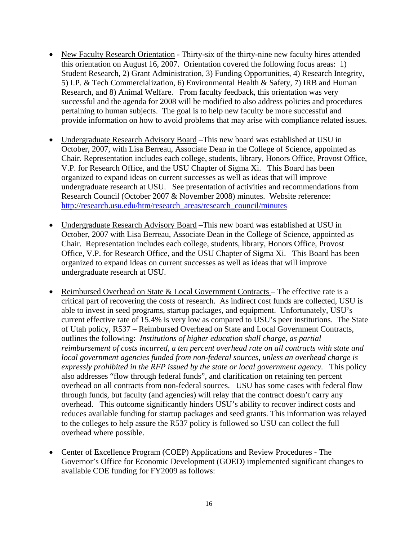- New Faculty Research Orientation Thirty-six of the thirty-nine new faculty hires attended this orientation on August 16, 2007. Orientation covered the following focus areas: 1) Student Research, 2) Grant Administration, 3) Funding Opportunities, 4) Research Integrity, 5) I.P. & Tech Commercialization, 6) Environmental Health & Safety, 7) IRB and Human Research, and 8) Animal Welfare. From faculty feedback, this orientation was very successful and the agenda for 2008 will be modified to also address policies and procedures pertaining to human subjects. The goal is to help new faculty be more successful and provide information on how to avoid problems that may arise with compliance related issues.
- Undergraduate Research Advisory Board –This new board was established at USU in October, 2007, with Lisa Berreau, Associate Dean in the College of Science, appointed as Chair. Representation includes each college, students, library, Honors Office, Provost Office, V.P. for Research Office, and the USU Chapter of Sigma Xi. This Board has been organized to expand ideas on current successes as well as ideas that will improve undergraduate research at USU. See presentation of activities and recommendations from Research Council (October 2007 & November 2008) minutes. Website reference: [http://research.usu.edu/htm/research\\_areas/research\\_council/minutes](http://research.usu.edu/htm/research_areas/research_council/minutes)
- Undergraduate Research Advisory Board –This new board was established at USU in October, 2007 with Lisa Berreau, Associate Dean in the College of Science, appointed as Chair. Representation includes each college, students, library, Honors Office, Provost Office, V.P. for Research Office, and the USU Chapter of Sigma Xi. This Board has been organized to expand ideas on current successes as well as ideas that will improve undergraduate research at USU.
- Reimbursed Overhead on State & Local Government Contracts The effective rate is a critical part of recovering the costs of research. As indirect cost funds are collected, USU is able to invest in seed programs, startup packages, and equipment. Unfortunately, USU's current effective rate of 15.4% is very low as compared to USU's peer institutions. The State of Utah policy, R537 – Reimbursed Overhead on State and Local Government Contracts, outlines the following: *Institutions of higher education shall charge, as partial reimbursement of costs incurred, a ten percent overhead rate on all contracts with state and local government agencies funded from non-federal sources, unless an overhead charge is expressly prohibited in the RFP issued by the state or local government agency.* This policy also addresses "flow through federal funds", and clarification on retaining ten percent overhead on all contracts from non-federal sources. USU has some cases with federal flow through funds, but faculty (and agencies) will relay that the contract doesn't carry any overhead. This outcome significantly hinders USU's ability to recover indirect costs and reduces available funding for startup packages and seed grants. This information was relayed to the colleges to help assure the R537 policy is followed so USU can collect the full overhead where possible.
- Center of Excellence Program (COEP) Applications and Review Procedures The Governor's Office for Economic Development (GOED) implemented significant changes to available COE funding for FY2009 as follows: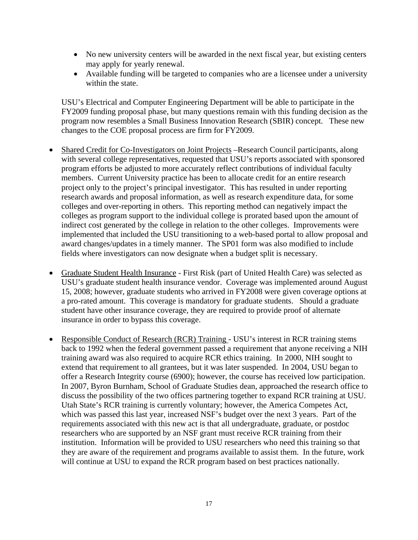- No new university centers will be awarded in the next fiscal year, but existing centers may apply for yearly renewal.
- Available funding will be targeted to companies who are a licensee under a university within the state.

USU's Electrical and Computer Engineering Department will be able to participate in the FY2009 funding proposal phase, but many questions remain with this funding decision as the program now resembles a Small Business Innovation Research (SBIR) concept. These new changes to the COE proposal process are firm for FY2009.

- Shared Credit for Co-Investigators on Joint Projects –Research Council participants, along with several college representatives, requested that USU's reports associated with sponsored program efforts be adjusted to more accurately reflect contributions of individual faculty members. Current University practice has been to allocate credit for an entire research project only to the project's principal investigator. This has resulted in under reporting research awards and proposal information, as well as research expenditure data, for some colleges and over-reporting in others. This reporting method can negatively impact the colleges as program support to the individual college is prorated based upon the amount of indirect cost generated by the college in relation to the other colleges. Improvements were implemented that included the USU transitioning to a web-based portal to allow proposal and award changes/updates in a timely manner. The SP01 form was also modified to include fields where investigators can now designate when a budget split is necessary.
- Graduate Student Health Insurance First Risk (part of United Health Care) was selected as USU's graduate student health insurance vendor. Coverage was implemented around August 15, 2008; however, graduate students who arrived in FY2008 were given coverage options at a pro-rated amount. This coverage is mandatory for graduate students. Should a graduate student have other insurance coverage, they are required to provide proof of alternate insurance in order to bypass this coverage.
- Responsible Conduct of Research (RCR) Training USU's interest in RCR training stems back to 1992 when the federal government passed a requirement that anyone receiving a NIH training award was also required to acquire RCR ethics training. In 2000, NIH sought to extend that requirement to all grantees, but it was later suspended. In 2004, USU began to offer a Research Integrity course (6900); however, the course has received low participation. In 2007, Byron Burnham, School of Graduate Studies dean, approached the research office to discuss the possibility of the two offices partnering together to expand RCR training at USU. Utah State's RCR training is currently voluntary; however, the America Competes Act, which was passed this last year, increased NSF's budget over the next 3 years. Part of the requirements associated with this new act is that all undergraduate, graduate, or postdoc researchers who are supported by an NSF grant must receive RCR training from their institution. Information will be provided to USU researchers who need this training so that they are aware of the requirement and programs available to assist them. In the future, work will continue at USU to expand the RCR program based on best practices nationally.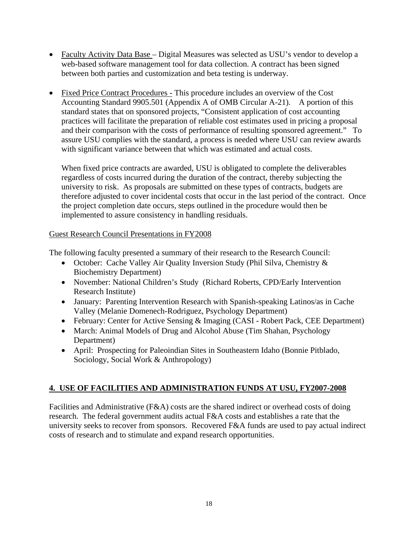- Faculty Activity Data Base Digital Measures was selected as USU's vendor to develop a web-based software management tool for data collection. A contract has been signed between both parties and customization and beta testing is underway.
- Fixed Price Contract Procedures This procedure includes an overview of the Cost Accounting Standard 9905.501 (Appendix A of OMB Circular A-21). A portion of this standard states that on sponsored projects, "Consistent application of cost accounting practices will facilitate the preparation of reliable cost estimates used in pricing a proposal and their comparison with the costs of performance of resulting sponsored agreement." To assure USU complies with the standard, a process is needed where USU can review awards with significant variance between that which was estimated and actual costs.

When fixed price contracts are awarded, USU is obligated to complete the deliverables regardless of costs incurred during the duration of the contract, thereby subjecting the university to risk. As proposals are submitted on these types of contracts, budgets are therefore adjusted to cover incidental costs that occur in the last period of the contract. Once the project completion date occurs, steps outlined in the procedure would then be implemented to assure consistency in handling residuals.

## Guest Research Council Presentations in FY2008

The following faculty presented a summary of their research to the Research Council:

- October: Cache Valley Air Quality Inversion Study (Phil Silva, Chemistry & Biochemistry Department)
- November: National Children's Study (Richard Roberts, CPD/Early Intervention Research Institute)
- January: Parenting Intervention Research with Spanish-speaking Latinos/as in Cache Valley (Melanie Domenech-Rodriguez, Psychology Department)
- February: Center for Active Sensing & Imaging (CASI Robert Pack, CEE Department)
- March: Animal Models of Drug and Alcohol Abuse (Tim Shahan, Psychology Department)
- April: Prospecting for Paleoindian Sites in Southeastern Idaho (Bonnie Pitblado, Sociology, Social Work & Anthropology)

## **4. USE OF FACILITIES AND ADMINISTRATION FUNDS AT USU, FY2007-2008**

Facilities and Administrative (F&A) costs are the shared indirect or overhead costs of doing research. The federal government audits actual F&A costs and establishes a rate that the university seeks to recover from sponsors. Recovered F&A funds are used to pay actual indirect costs of research and to stimulate and expand research opportunities.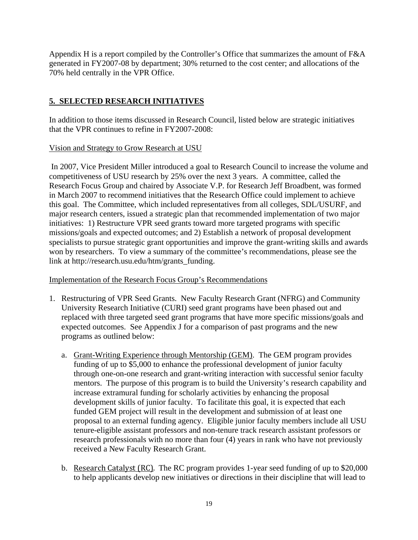Appendix H is a report compiled by the Controller's Office that summarizes the amount of F&A generated in FY2007-08 by department; 30% returned to the cost center; and allocations of the 70% held centrally in the VPR Office.

## **5. SELECTED RESEARCH INITIATIVES**

In addition to those items discussed in Research Council, listed below are strategic initiatives that the VPR continues to refine in FY2007-2008:

## Vision and Strategy to Grow Research at USU

 In 2007, Vice President Miller introduced a goal to Research Council to increase the volume and competitiveness of USU research by 25% over the next 3 years. A committee, called the Research Focus Group and chaired by Associate V.P. for Research Jeff Broadbent, was formed in March 2007 to recommend initiatives that the Research Office could implement to achieve this goal. The Committee, which included representatives from all colleges, SDL/USURF, and major research centers, issued a strategic plan that recommended implementation of two major initiatives: 1) Restructure VPR seed grants toward more targeted programs with specific missions/goals and expected outcomes; and 2) Establish a network of proposal development specialists to pursue strategic grant opportunities and improve the grant-writing skills and awards won by researchers. To view a summary of the committee's recommendations, please see the link at http://research.usu.edu/htm/grants\_funding.

## Implementation of the Research Focus Group's Recommendations

- 1. Restructuring of VPR Seed Grants. New Faculty Research Grant (NFRG) and Community University Research Initiative (CURI) seed grant programs have been phased out and replaced with three targeted seed grant programs that have more specific missions/goals and expected outcomes. See Appendix J for a comparison of past programs and the new programs as outlined below:
	- a. Grant-Writing Experience through Mentorship (GEM). The GEM program provides funding of up to \$5,000 to enhance the professional development of junior faculty through one-on-one research and grant-writing interaction with successful senior faculty mentors. The purpose of this program is to build the University's research capability and increase extramural funding for scholarly activities by enhancing the proposal development skills of junior faculty. To facilitate this goal, it is expected that each funded GEM project will result in the development and submission of at least one proposal to an external funding agency. Eligible junior faculty members include all USU tenure-eligible assistant professors and non-tenure track research assistant professors or research professionals with no more than four (4) years in rank who have not previously received a New Faculty Research Grant.
	- b. Research Catalyst (RC).The RC program provides 1-year seed funding of up to \$20,000 to help applicants develop new initiatives or directions in their discipline that will lead to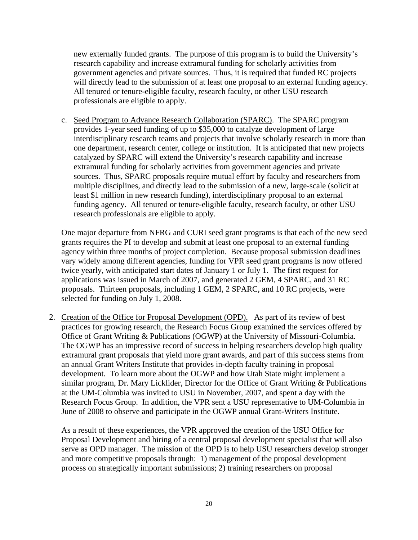new externally funded grants. The purpose of this program is to build the University's research capability and increase extramural funding for scholarly activities from government agencies and private sources. Thus, it is required that funded RC projects will directly lead to the submission of at least one proposal to an external funding agency. All tenured or tenure-eligible faculty, research faculty, or other USU research professionals are eligible to apply.

c. Seed Program to Advance Research Collaboration (SPARC). The SPARC program provides 1-year seed funding of up to \$35,000 to catalyze development of large interdisciplinary research teams and projects that involve scholarly research in more than one department, research center, college or institution. It is anticipated that new projects catalyzed by SPARC will extend the University's research capability and increase extramural funding for scholarly activities from government agencies and private sources. Thus, SPARC proposals require mutual effort by faculty and researchers from multiple disciplines, and directly lead to the submission of a new, large-scale (solicit at least \$1 million in new research funding), interdisciplinary proposal to an external funding agency. All tenured or tenure-eligible faculty, research faculty, or other USU research professionals are eligible to apply.

One major departure from NFRG and CURI seed grant programs is that each of the new seed grants requires the PI to develop and submit at least one proposal to an external funding agency within three months of project completion. Because proposal submission deadlines vary widely among different agencies, funding for VPR seed grant programs is now offered twice yearly, with anticipated start dates of January 1 or July 1. The first request for applications was issued in March of 2007, and generated 2 GEM, 4 SPARC, and 31 RC proposals. Thirteen proposals, including 1 GEM, 2 SPARC, and 10 RC projects, were selected for funding on July 1, 2008.

2. Creation of the Office for Proposal Development (OPD). As part of its review of best practices for growing research, the Research Focus Group examined the services offered by Office of Grant Writing & Publications (OGWP) at the University of Missouri-Columbia. The OGWP has an impressive record of success in helping researchers develop high quality extramural grant proposals that yield more grant awards, and part of this success stems from an annual Grant Writers Institute that provides in-depth faculty training in proposal development. To learn more about the OGWP and how Utah State might implement a similar program, Dr. Mary Licklider, Director for the Office of Grant Writing & Publications at the UM-Columbia was invited to USU in November, 2007, and spent a day with the Research Focus Group. In addition, the VPR sent a USU representative to UM-Columbia in June of 2008 to observe and participate in the OGWP annual Grant-Writers Institute.

As a result of these experiences, the VPR approved the creation of the USU Office for Proposal Development and hiring of a central proposal development specialist that will also serve as OPD manager. The mission of the OPD is to help USU researchers develop stronger and more competitive proposals through: 1) management of the proposal development process on strategically important submissions; 2) training researchers on proposal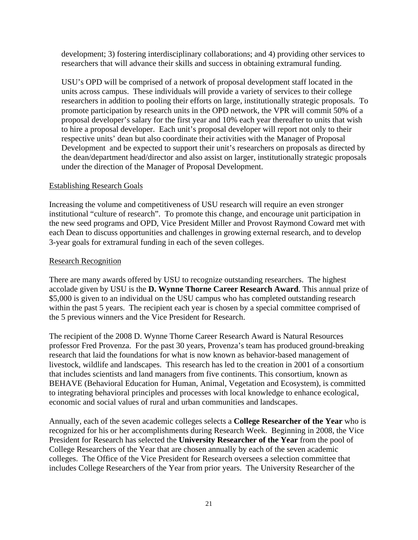development; 3) fostering interdisciplinary collaborations; and 4) providing other services to researchers that will advance their skills and success in obtaining extramural funding.

USU's OPD will be comprised of a network of proposal development staff located in the units across campus. These individuals will provide a variety of services to their college researchers in addition to pooling their efforts on large, institutionally strategic proposals. To promote participation by research units in the OPD network, the VPR will commit 50% of a proposal developer's salary for the first year and 10% each year thereafter to units that wish to hire a proposal developer. Each unit's proposal developer will report not only to their respective units' dean but also coordinate their activities with the Manager of Proposal Development and be expected to support their unit's researchers on proposals as directed by the dean/department head/director and also assist on larger, institutionally strategic proposals under the direction of the Manager of Proposal Development.

## Establishing Research Goals

Increasing the volume and competitiveness of USU research will require an even stronger institutional "culture of research". To promote this change, and encourage unit participation in the new seed programs and OPD, Vice President Miller and Provost Raymond Coward met with each Dean to discuss opportunities and challenges in growing external research, and to develop 3-year goals for extramural funding in each of the seven colleges.

## Research Recognition

There are many awards offered by USU to recognize outstanding researchers. The highest accolade given by USU is the **D. Wynne Thorne Career Research Award**. This annual prize of \$5,000 is given to an individual on the USU campus who has completed outstanding research within the past 5 years. The recipient each year is chosen by a special committee comprised of the 5 previous winners and the Vice President for Research.

The recipient of the 2008 D. Wynne Thorne Career Research Award is Natural Resources professor Fred Provenza. For the past 30 years, Provenza's team has produced ground-breaking research that laid the foundations for what is now known as behavior-based management of livestock, wildlife and landscapes. This research has led to the creation in 2001 of a consortium that includes scientists and land managers from five continents. This consortium, known as BEHAVE (Behavioral Education for Human, Animal, Vegetation and Ecosystem), is committed to integrating behavioral principles and processes with local knowledge to enhance ecological, economic and social values of rural and urban communities and landscapes.

Annually, each of the seven academic colleges selects a **College Researcher of the Year** who is recognized for his or her accomplishments during Research Week. Beginning in 2008, the Vice President for Research has selected the **University Researcher of the Year** from the pool of College Researchers of the Year that are chosen annually by each of the seven academic colleges. The Office of the Vice President for Research oversees a selection committee that includes College Researchers of the Year from prior years. The University Researcher of the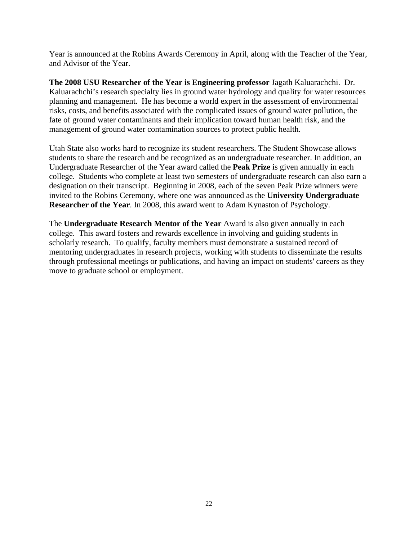Year is announced at the Robins Awards Ceremony in April, along with the Teacher of the Year, and Advisor of the Year.

**The 2008 USU Researcher of the Year is Engineering professor** Jagath Kaluarachchi. Dr. Kaluarachchi's research specialty lies in ground water hydrology and quality for water resources planning and management. He has become a world expert in the assessment of environmental risks, costs, and benefits associated with the complicated issues of ground water pollution, the fate of ground water contaminants and their implication toward human health risk, and the management of ground water contamination sources to protect public health.

Utah State also works hard to recognize its student researchers. The Student Showcase allows students to share the research and be recognized as an undergraduate researcher. In addition, an Undergraduate Researcher of the Year award called the **Peak Prize** is given annually in each college. Students who complete at least two semesters of undergraduate research can also earn a designation on their transcript. Beginning in 2008, each of the seven Peak Prize winners were invited to the Robins Ceremony, where one was announced as the **University Undergraduate Researcher of the Year**. In 2008, this award went to Adam Kynaston of Psychology.

The **Undergraduate Research Mentor of the Year** Award is also given annually in each college. This award fosters and rewards excellence in involving and guiding students in scholarly research. To qualify, faculty members must demonstrate a sustained record of mentoring undergraduates in research projects, working with students to disseminate the results through professional meetings or publications, and having an impact on students' careers as they move to graduate school or employment.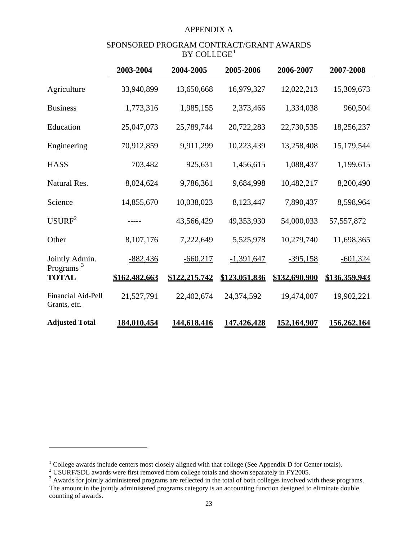#### APPENDIX A

## SPONSORED PROGRAM CONTRACT/GRANT AWARDS  $BY$  COLLEGE<sup>[1](#page-22-0)</sup>

<span id="page-22-0"></span>

|                                       | 2003-2004     | 2004-2005     | 2005-2006     | 2006-2007          | 2007-2008          |
|---------------------------------------|---------------|---------------|---------------|--------------------|--------------------|
| Agriculture                           | 33,940,899    | 13,650,668    | 16,979,327    | 12,022,213         | 15,309,673         |
| <b>Business</b>                       | 1,773,316     | 1,985,155     | 2,373,466     | 1,334,038          | 960,504            |
| Education                             | 25,047,073    | 25,789,744    | 20,722,283    | 22,730,535         | 18,256,237         |
| Engineering                           | 70,912,859    | 9,911,299     | 10,223,439    | 13,258,408         | 15,179,544         |
| <b>HASS</b>                           | 703,482       | 925,631       | 1,456,615     | 1,088,437          | 1,199,615          |
| Natural Res.                          | 8,024,624     | 9,786,361     | 9,684,998     | 10,482,217         | 8,200,490          |
| Science                               | 14,855,670    | 10,038,023    | 8,123,447     | 7,890,437          | 8,598,964          |
| USURF <sup>2</sup>                    |               | 43,566,429    | 49,353,930    | 54,000,033         | 57, 557, 872       |
| Other                                 | 8,107,176     | 7,222,649     | 5,525,978     | 10,279,740         | 11,698,365         |
| Jointly Admin.                        | $-882,436$    | $-660,217$    | $-1,391,647$  | $-395,158$         | $-601,324$         |
| Programs <sup>3</sup><br><b>TOTAL</b> | \$162,482,663 | \$122,215,742 | \$123,051,836 | \$132,690,900      | \$136,359,943      |
| Financial Aid-Pell<br>Grants, etc.    | 21,527,791    | 22,402,674    | 24,374,592    | 19,474,007         | 19,902,221         |
| <b>Adjusted Total</b>                 | 184,010,454   | 144,618,416   | 147,426,428   | <u>152,164,907</u> | <u>156,262,164</u> |

1

<sup>&</sup>lt;sup>1</sup> College awards include centers most closely aligned with that college (See Appendix D for Center totals).<br><sup>2</sup> USURF/SDL awards were first removed from college totals and shown separately in FY2005.

 $3$  Awards for jointly administered programs are reflected in the total of both colleges involved with these programs. The amount in the jointly administered programs category is an accounting function designed to eliminate double counting of awards.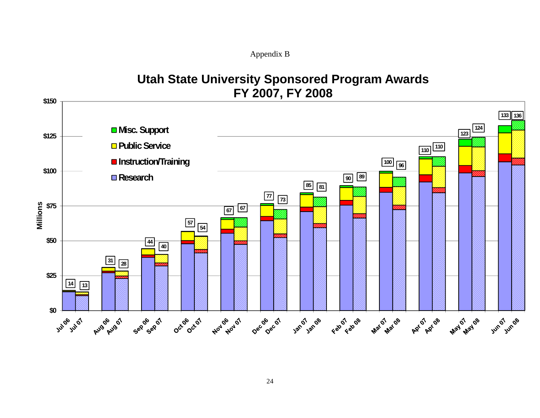Appendix B

# **Utah State University Sponsored Program Awards FY 2007, FY 2008**

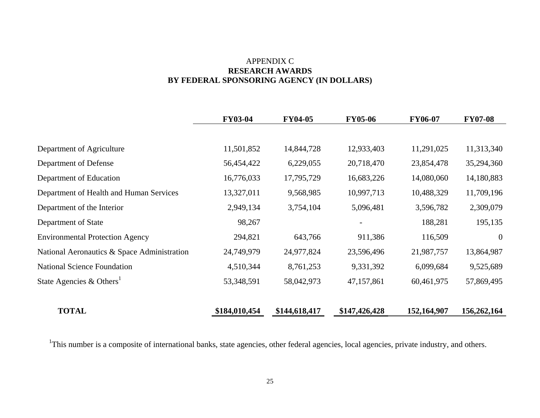#### APPENDIX C **RESEARCH AWARDS BY FEDERAL SPONSORING AGENCY (IN DOLLARS)**

|                                             | <b>FY03-04</b> | <b>FY04-05</b> | <b>FY05-06</b> | <b>FY06-07</b> | <b>FY07-08</b> |
|---------------------------------------------|----------------|----------------|----------------|----------------|----------------|
|                                             |                |                |                |                |                |
| Department of Agriculture                   | 11,501,852     | 14,844,728     | 12,933,403     | 11,291,025     | 11,313,340     |
| Department of Defense                       | 56,454,422     | 6,229,055      | 20,718,470     | 23,854,478     | 35,294,360     |
| Department of Education                     | 16,776,033     | 17,795,729     | 16,683,226     | 14,080,060     | 14,180,883     |
| Department of Health and Human Services     | 13,327,011     | 9,568,985      | 10,997,713     | 10,488,329     | 11,709,196     |
| Department of the Interior                  | 2,949,134      | 3,754,104      | 5,096,481      | 3,596,782      | 2,309,079      |
| Department of State                         | 98,267         |                |                | 188,281        | 195,135        |
| <b>Environmental Protection Agency</b>      | 294,821        | 643,766        | 911,386        | 116,509        | $\overline{0}$ |
| National Aeronautics & Space Administration | 24,749,979     | 24,977,824     | 23,596,496     | 21,987,757     | 13,864,987     |
| <b>National Science Foundation</b>          | 4,510,344      | 8,761,253      | 9,331,392      | 6,099,684      | 9,525,689      |
| State Agencies & Others <sup>1</sup>        | 53,348,591     | 58,042,973     | 47,157,861     | 60,461,975     | 57,869,495     |
| <b>TOTAL</b>                                | \$184,010,454  | \$144,618,417  | \$147,426,428  | 152,164,907    | 156,262,164    |

<sup>1</sup>This number is a composite of international banks, state agencies, other federal agencies, local agencies, private industry, and others.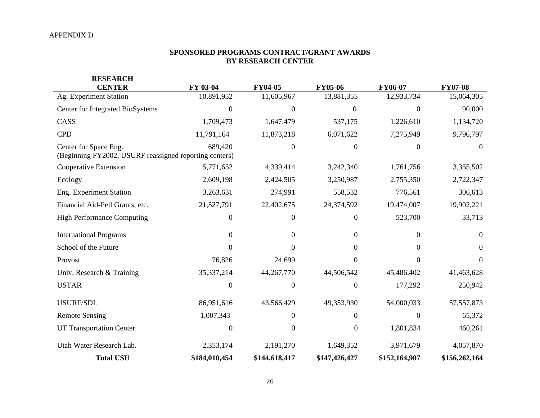#### **SPONSORED PROGRAMS CONTRACT/GRANT AWARDS BY RESEARCH CENTER**

| <b>RESEARCH</b>                                                                 |                  |                  |                  |                |                |
|---------------------------------------------------------------------------------|------------------|------------------|------------------|----------------|----------------|
| <b>CENTER</b>                                                                   | FY 03-04         | <b>FY04-05</b>   | <b>FY05-06</b>   | <b>FY06-07</b> | <b>FY07-08</b> |
| Ag. Experiment Station                                                          | 10,891,952       | 11,605,967       | 13,881,355       | 12,933,734     | 15,064,305     |
| Center for Integrated BioSystems                                                | $\overline{0}$   | $\theta$         | $\Omega$         | $\Omega$       | 90,000         |
| CASS                                                                            | 1,709,473        | 1,647,479        | 537,175          | 1,226,610      | 1,134,720      |
| <b>CPD</b>                                                                      | 11,791,164       | 11,873,218       | 6,071,622        | 7,275,949      | 9,796,797      |
| Center for Space Eng.<br>(Beginning FY2002, USURF reassigned reporting centers) | 689,420          | $\boldsymbol{0}$ | $\Omega$         | $\Omega$       | $\Omega$       |
| Cooperative Extension                                                           | 5,771,652        | 4,339,414        | 3,242,340        | 1,761,756      | 3,355,502      |
| Ecology                                                                         | 2,609,198        | 2,424,505        | 3,250,987        | 2,755,350      | 2,722,347      |
| Eng. Experiment Station                                                         | 3,263,631        | 274,991          | 558,532          | 776,561        | 306,613        |
| Financial Aid-Pell Grants, etc.                                                 | 21,527,791       | 22,402,675       | 24,374,592       | 19,474,007     | 19,902,221     |
| <b>High Performance Computing</b>                                               | $\boldsymbol{0}$ | $\mathbf{0}$     | 0                | 523,700        | 33,713         |
| <b>International Programs</b>                                                   | $\boldsymbol{0}$ | $\overline{0}$   | $\overline{0}$   | $\overline{0}$ | $\Omega$       |
| School of the Future                                                            | $\Omega$         | $\Omega$         | 0                | $\Omega$       | $\Omega$       |
| Provost                                                                         | 76,826           | 24,699           | 0                | 0              | $\Omega$       |
| Univ. Research & Training                                                       | 35,337,214       | 44,267,770       | 44,506,542       | 45,486,402     | 41,463,628     |
| <b>USTAR</b>                                                                    | $\overline{0}$   | $\boldsymbol{0}$ | $\boldsymbol{0}$ | 177,292        | 250,942        |
| USURF/SDL                                                                       | 86,951,616       | 43,566,429       | 49,353,930       | 54,000,033     | 57, 557, 873   |
| <b>Remote Sensing</b>                                                           | 1,007,343        | $\overline{0}$   | 0                | $\Omega$       | 65,372         |
| <b>UT Transportation Center</b>                                                 | $\overline{0}$   | $\overline{0}$   | $\boldsymbol{0}$ | 1,801,834      | 460,261        |
| Utah Water Research Lab.                                                        | 2,353,174        | 2,191,270        | 1,649,352        | 3,971,679      | 4,057,870      |
| <b>Total USU</b>                                                                | \$184,010,454    | \$144,618,417    | \$147,426,427    | \$152,164,907  | \$156,262,164  |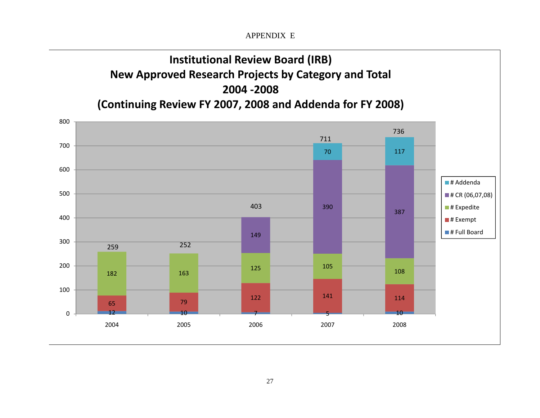APPENDIX E

# **Institutional Review Board (IRB) New Approved Research Projects by Category and Total 2004 ‐2008**

**(Continuing Review FY 2007, 2008 and Addenda for FY 2008)**

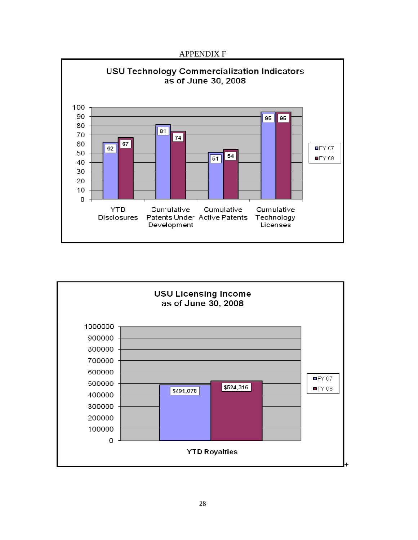#### APPENDIX F



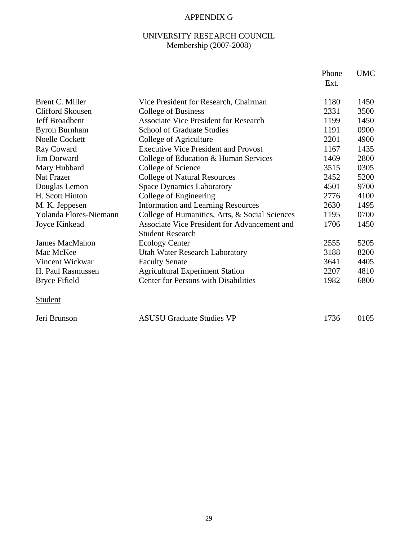## APPENDIX G

## UNIVERSITY RESEARCH COUNCIL Membership (2007-2008)

|                        |                                                                                | Phone<br>Ext. | <b>UMC</b> |
|------------------------|--------------------------------------------------------------------------------|---------------|------------|
| Brent C. Miller        | Vice President for Research, Chairman                                          | 1180          | 1450       |
| Clifford Skousen       | College of Business                                                            | 2331          | 3500       |
| <b>Jeff Broadbent</b>  | <b>Associate Vice President for Research</b>                                   | 1199          | 1450       |
| <b>Byron Burnham</b>   | <b>School of Graduate Studies</b>                                              | 1191          | 0900       |
| <b>Noelle Cockett</b>  | College of Agriculture                                                         | 2201          | 4900       |
| Ray Coward             | <b>Executive Vice President and Provost</b>                                    | 1167          | 1435       |
| <b>Jim Dorward</b>     | College of Education & Human Services                                          | 1469          | 2800       |
| Mary Hubbard           | College of Science                                                             | 3515          | 0305       |
| Nat Frazer             | <b>College of Natural Resources</b>                                            | 2452          | 5200       |
| Douglas Lemon          | <b>Space Dynamics Laboratory</b>                                               | 4501          | 9700       |
| H. Scott Hinton        | College of Engineering                                                         | 2776          | 4100       |
| M. K. Jeppesen         | <b>Information and Learning Resources</b>                                      | 2630          | 1495       |
| Yolanda Flores-Niemann | College of Humanities, Arts, & Social Sciences                                 | 1195          | 0700       |
| Joyce Kinkead          | <b>Associate Vice President for Advancement and</b><br><b>Student Research</b> | 1706          | 1450       |
| <b>James MacMahon</b>  | <b>Ecology Center</b>                                                          | 2555          | 5205       |
| Mac McKee              | Utah Water Research Laboratory                                                 | 3188          | 8200       |
| Vincent Wickwar        | <b>Faculty Senate</b>                                                          | 3641          | 4405       |
| H. Paul Rasmussen      | <b>Agricultural Experiment Station</b>                                         | 2207          | 4810       |
| <b>Bryce Fifield</b>   | <b>Center for Persons with Disabilities</b>                                    | 1982          | 6800       |
| <b>Student</b>         |                                                                                |               |            |
| Jeri Brunson           | <b>ASUSU Graduate Studies VP</b>                                               | 1736          | 0105       |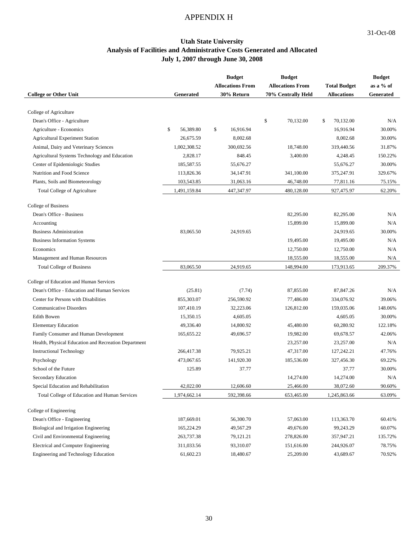## APPENDIX H

#### **Utah State University Analysis of Facilities and Administrative Costs Generated and Allocated July 1, 2007 through June 30, 2008**

|                                                      |                 | <b>Budget</b>           | <b>Budget</b>           |                     | <b>Budget</b> |
|------------------------------------------------------|-----------------|-------------------------|-------------------------|---------------------|---------------|
|                                                      |                 | <b>Allocations From</b> | <b>Allocations From</b> | <b>Total Budget</b> | as a % of     |
| <b>College or Other Unit</b>                         | Generated       | 30% Return              | 70% Centrally Held      | <b>Allocations</b>  | Generated     |
|                                                      |                 |                         |                         |                     |               |
| College of Agriculture                               |                 |                         |                         |                     |               |
| Dean's Office - Agriculture                          |                 |                         | \$<br>70,132.00         | 70,132.00<br>\$     | N/A           |
| Agriculture - Economics                              | \$<br>56,389.80 | \$<br>16,916.94         |                         | 16,916.94           | 30.00%        |
| <b>Agricultural Experiment Station</b>               | 26,675.59       | 8,002.68                |                         | 8,002.68            | 30.00%        |
| Animal, Dairy and Veterinary Sciences                | 1,002,308.52    | 300,692.56              | 18,748.00               | 319,440.56          | 31.87%        |
| Agricultural Systems Technology and Education        | 2,828.17        | 848.45                  | 3,400.00                | 4,248.45            | 150.22%       |
| Center of Epidemiologic Studies                      | 185,587.55      | 55,676.27               |                         | 55,676.27           | 30.00%        |
| Nutrition and Food Science                           | 113,826.36      | 34,147.91               | 341,100.00              | 375,247.91          | 329.67%       |
| Plants, Soils and Biometeorology                     | 103,543.85      | 31,063.16               | 46,748.00               | 77,811.16           | 75.15%        |
| Total College of Agriculture                         | 1,491,159.84    | 447,347.97              | 480,128.00              | 927,475.97          | 62.20%        |
| College of Business                                  |                 |                         |                         |                     |               |
| Dean's Office - Business                             |                 |                         | 82,295.00               | 82,295.00           | N/A           |
| Accounting                                           |                 |                         | 15,899.00               | 15,899.00           | N/A           |
| <b>Business Administration</b>                       | 83,065.50       | 24,919.65               |                         | 24,919.65           | 30.00%        |
| <b>Business Information Systems</b>                  |                 |                         | 19,495.00               | 19,495.00           | N/A           |
| Economics                                            |                 |                         | 12,750.00               | 12,750.00           | N/A           |
| Management and Human Resources                       |                 |                         | 18,555.00               | 18,555.00           | N/A           |
|                                                      | 83,065.50       |                         |                         |                     |               |
| <b>Total College of Business</b>                     |                 | 24,919.65               | 148,994.00              | 173,913.65          | 209.37%       |
| College of Education and Human Services              |                 |                         |                         |                     |               |
| Dean's Office - Education and Human Services         | (25.81)         | (7.74)                  | 87,855.00               | 87,847.26           | N/A           |
| Center for Persons with Disabilities                 | 855,303.07      | 256,590.92              | 77,486.00               | 334,076.92          | 39.06%        |
| <b>Communicative Disorders</b>                       | 107,410.19      | 32,223.06               | 126,812.00              | 159,035.06          | 148.06%       |
| Edith Bowen                                          | 15,350.15       | 4,605.05                |                         | 4,605.05            | 30.00%        |
| <b>Elementary Education</b>                          | 49,336.40       | 14,800.92               | 45,480.00               | 60,280.92           | 122.18%       |
| Family Consumer and Human Development                | 165, 655.22     | 49,696.57               | 19,982.00               | 69,678.57           | 42.06%        |
| Health, Physical Education and Recreation Department |                 |                         | 23,257.00               | 23,257.00           | N/A           |
| <b>Instructional Technology</b>                      | 266,417.38      | 79,925.21               | 47,317.00               | 127,242.21          | 47.76%        |
| Psychology                                           | 473,067.65      | 141,920.30              | 185,536.00              | 327,456.30          | 69.22%        |
| School of the Future                                 | 125.89          | 37.77                   |                         | 37.77               | 30.00%        |
| <b>Secondary Education</b>                           |                 |                         | 14,274.00               | 14,274.00           | N/A           |
| Special Education and Rehabilitation                 | 42,022.00       | 12,606.60               | 25,466.00               | 38,072.60           | 90.60%        |
| Total College of Education and Human Services        | 1,974,662.14    | 592,398.66              | 653,465.00              | 1,245,863.66        | 63.09%        |
|                                                      |                 |                         |                         |                     |               |
| College of Engineering                               |                 |                         |                         |                     |               |
| Dean's Office - Engineering                          | 187,669.01      | 56,300.70               | 57,063.00               | 113,363.70          | 60.41%        |
| Biological and Irrigation Engineering                | 165,224.29      | 49,567.29               | 49,676.00               | 99,243.29           | 60.07%        |
| Civil and Environmental Engineering                  | 263,737.38      | 79,121.21               | 278,826.00              | 357,947.21          | 135.72%       |
| Electrical and Computer Engineering                  | 311,033.56      | 93,310.07               | 151,616.00              | 244,926.07          | 78.75%        |
| Engineering and Technology Education                 | 61,602.23       | 18,480.67               | 25,209.00               | 43,689.67           | 70.92%        |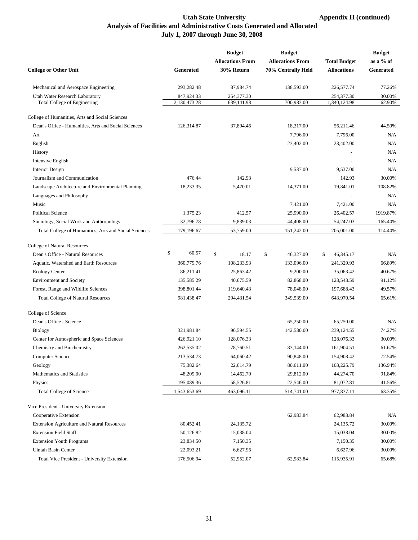#### Utah State University **Appendix H** (continued) **Analysis of Facilities and Administrative Costs Generated and Allocated July 1, 2007 through June 30, 2008**

|                                                       |              | <b>Budget</b>           | <b>Budget</b>           |                     | <b>Budget</b> |
|-------------------------------------------------------|--------------|-------------------------|-------------------------|---------------------|---------------|
|                                                       |              | <b>Allocations From</b> | <b>Allocations From</b> | <b>Total Budget</b> | as a % of     |
| <b>College or Other Unit</b>                          | Generated    | 30% Return              | 70% Centrally Held      | <b>Allocations</b>  | Generated     |
| Mechanical and Aerospace Engineering                  | 293,282.48   | 87,984.74               | 138,593.00              | 226,577.74          | 77.26%        |
| Utah Water Research Laboratory                        | 847,924.33   | 254,377.30              |                         | 254,377.30          | 30.00%        |
| Total College of Engineering                          | 2,130,473.28 | 639,141.98              | 700,983.00              | 1,340,124.98        | 62.90%        |
| College of Humanities, Arts and Social Sciences       |              |                         |                         |                     |               |
| Dean's Office - Humanities, Arts and Social Sciences  | 126,314.87   | 37,894.46               | 18,317.00               | 56,211.46           | 44.50%        |
| Art                                                   |              |                         | 7,796.00                | 7,796.00            | N/A           |
| English                                               |              |                         | 23,402.00               | 23,402.00           | N/A           |
| History                                               |              |                         |                         |                     | N/A           |
| Intensive English                                     |              |                         |                         |                     | N/A           |
| <b>Interior Design</b>                                |              |                         | 9,537.00                | 9,537.00            | N/A           |
| Journalism and Communication                          | 476.44       | 142.93                  |                         | 142.93              | 30.00%        |
| Landscape Architecture and Environmental Planning     | 18,233.35    | 5,470.01                | 14,371.00               | 19,841.01           | 108.82%       |
| Languages and Philosophy                              |              |                         |                         |                     | N/A           |
| Music                                                 |              |                         | 7,421.00                | 7,421.00            | N/A           |
| <b>Political Science</b>                              | 1,375.23     | 412.57                  | 25,990.00               | 26,402.57           | 1919.87%      |
| Sociology, Social Work and Anthropology               | 32,796.78    | 9,839.03                | 44,408.00               | 54,247.03           | 165.40%       |
| Total College of Humanities, Arts and Social Sciences | 179,196.67   | 53,759.00               | 151,242.00              | 205,001.00          | 114.40%       |
| College of Natural Resources                          |              |                         |                         |                     |               |
| Dean's Office - Natural Resources                     | \$<br>60.57  | \$<br>18.17             | \$<br>46,327.00         | \$<br>46,345.17     | N/A           |
| Aquatic, Watershed and Earth Resources                | 360,779.76   | 108,233.93              | 133,096.00              | 241,329.93          | 66.89%        |
| <b>Ecology Center</b>                                 | 86,211.41    | 25,863.42               | 9,200.00                | 35,063.42           | 40.67%        |
| <b>Environment and Society</b>                        | 135,585.29   | 40,675.59               | 82,868.00               | 123,543.59          | 91.12%        |
| Forest, Range and Wildlife Sciences                   | 398,801.44   | 119,640.43              | 78,048.00               | 197,688.43          | 49.57%        |
| <b>Total College of Natural Resources</b>             | 981,438.47   | 294,431.54              | 349,539.00              | 643,970.54          | 65.61%        |
| College of Science                                    |              |                         |                         |                     |               |
| Dean's Office - Science                               |              |                         | 65,250.00               | 65,250.00           | N/A           |
| <b>Biology</b>                                        | 321,981.84   | 96,594.55               | 142,530.00              | 239,124.55          | 74.27%        |
| Center for Atmospheric and Space Sciences             | 426,921.10   | 128,076.33              |                         | 128,076.33          | 30.00%        |
| Chemistry and Biochemistry                            | 262,535.02   | 78,760.51               | 83,144.00               | 161,904.51          | 61.67%        |
| Computer Science                                      | 213,534.73   | 64,060.42               | 90,848.00               | 154,908.42          | 72.54%        |
| Geology                                               | 75,382.64    | 22,614.79               | 80,611.00               | 103,225.79          | 136.94%       |
| Mathematics and Statistics                            | 48,209.00    | 14,462.70               | 29,812.00               | 44,274.70           | 91.84%        |
| Physics                                               | 195,089.36   | 58,526.81               | 22,546.00               | 81,072.81           | 41.56%        |
| <b>Total College of Science</b>                       | 1,543,653.69 | 463,096.11              | 514,741.00              | 977,837.11          | 63.35%        |
| Vice President - University Extension                 |              |                         |                         |                     |               |
| Cooperative Extension                                 |              |                         | 62,983.84               | 62,983.84           | N/A           |
| <b>Extension Agriculture and Natural Resources</b>    | 80,452.41    | 24,135.72               |                         | 24,135.72           | 30.00%        |
| <b>Extension Field Staff</b>                          | 50,126.82    | 15,038.04               |                         | 15,038.04           | 30.00%        |
| <b>Extension Youth Programs</b>                       | 23,834.50    | 7,150.35                |                         | 7,150.35            | 30.00%        |
| <b>Uintah Basin Center</b>                            | 22,093.21    | 6,627.96                |                         | 6,627.96            | 30.00%        |
| Total Vice President - University Extension           | 176,506.94   | 52,952.07               | 62,983.84               | 115,935.91          | 65.68%        |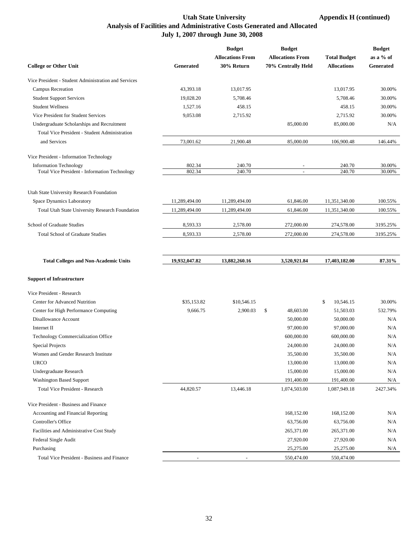#### Utah State University **Appendix H** (continued) **Analysis of Facilities and Administrative Costs Generated and Allocated July 1, 2007 through June 30, 2008**

|                                                      |               | <b>Budget</b>           | <b>Budget</b>           |                     | <b>Budget</b> |
|------------------------------------------------------|---------------|-------------------------|-------------------------|---------------------|---------------|
|                                                      |               | <b>Allocations From</b> | <b>Allocations From</b> | <b>Total Budget</b> | as a % of     |
| <b>College or Other Unit</b>                         | Generated     | 30% Return              | 70% Centrally Held      | <b>Allocations</b>  | Generated     |
| Vice President - Student Administration and Services |               |                         |                         |                     |               |
| <b>Campus Recreation</b>                             | 43,393.18     | 13,017.95               |                         | 13,017.95           | 30.00%        |
| <b>Student Support Services</b>                      | 19,028.20     | 5,708.46                |                         | 5,708.46            | 30.00%        |
| <b>Student Wellness</b>                              | 1,527.16      | 458.15                  |                         | 458.15              | 30.00%        |
| Vice President for Student Services                  | 9,053.08      | 2,715.92                |                         | 2,715.92            | 30.00%        |
| Undergraduate Scholarships and Recruitment           |               |                         | 85,000.00               | 85,000.00           | N/A           |
| Total Vice President - Student Administration        |               |                         |                         |                     |               |
| and Services                                         | 73,001.62     | 21,900.48               | 85,000.00               | 106,900.48          | 146.44%       |
| Vice President - Information Technology              |               |                         |                         |                     |               |
| <b>Information Technology</b>                        | 802.34        | 240.70                  |                         | 240.70              | 30.00%        |
| Total Vice President - Information Technology        | 802.34        | 240.70                  | $\overline{a}$          | 240.70              | 30.00%        |
| Utah State University Research Foundation            |               |                         |                         |                     |               |
| Space Dynamics Laboratory                            | 11,289,494.00 | 11,289,494.00           | 61,846.00               | 11,351,340.00       | 100.55%       |
| Total Utah State University Research Foundation      | 11,289,494.00 | 11,289,494.00           | 61,846.00               | 11,351,340.00       | 100.55%       |
|                                                      |               |                         |                         |                     |               |
| School of Graduate Studies                           | 8,593.33      | 2,578.00                | 272,000.00              | 274,578.00          | 3195.25%      |
| <b>Total School of Graduate Studies</b>              | 8,593.33      | 2,578.00                | 272,000.00              | 274,578.00          | 3195.25%      |
|                                                      |               |                         |                         |                     |               |
| <b>Total Colleges and Non-Academic Units</b>         | 19,932,047.82 | 13,882,260.16           | 3,520,921.84            | 17,403,182.00       | 87.31%        |
| <b>Support of Infrastructure</b>                     |               |                         |                         |                     |               |
| Vice President - Research                            |               |                         |                         |                     |               |
| <b>Center for Advanced Nutrition</b>                 | \$35,153.82   | \$10,546.15             |                         | \$<br>10,546.15     | 30.00%        |
| Center for High Performance Computing                | 9,666.75      | 2,900.03                | \$<br>48,603.00         | 51,503.03           | 532.79%       |
| Disallowance Account                                 |               |                         | 50,000.00               | 50,000.00           | N/A           |
| Internet II                                          |               |                         | 97,000.00               | 97,000.00           | N/A           |
| Technology Commercialization Office                  |               |                         | 600,000.00              | 600,000.00          | N/A           |
| Special Projects                                     |               |                         | 24,000.00               | 24,000.00           | N/A           |
| Women and Gender Research Institute                  |               |                         | 35,500.00               | 35,500.00           | N/A           |
| <b>URCO</b>                                          |               |                         | 13,000.00               | 13,000.00           | N/A           |
| Undergraduate Research                               |               |                         | 15,000.00               | 15,000.00           | N/A           |
| <b>Washington Based Support</b>                      |               |                         | 191,400.00              | 191,400.00          | N/A           |
| Total Vice President - Research                      | 44,820.57     | 13,446.18               | 1,074,503.00            | 1,087,949.18        | 2427.34%      |
| Vice President - Business and Finance                |               |                         |                         |                     |               |
| Accounting and Financial Reporting                   |               |                         | 168,152.00              | 168,152.00          | N/A           |
| Controller's Office                                  |               |                         | 63,756.00               | 63,756.00           | N/A           |
| Facilities and Administrative Cost Study             |               |                         | 265,371.00              | 265,371.00          | N/A           |
| Federal Single Audit                                 |               |                         | 27,920.00               | 27,920.00           | N/A           |
| Purchasing                                           |               |                         | 25,275.00               | 25,275.00           | N/A           |
| Total Vice President - Business and Finance          |               |                         | 550,474.00              | 550,474.00          |               |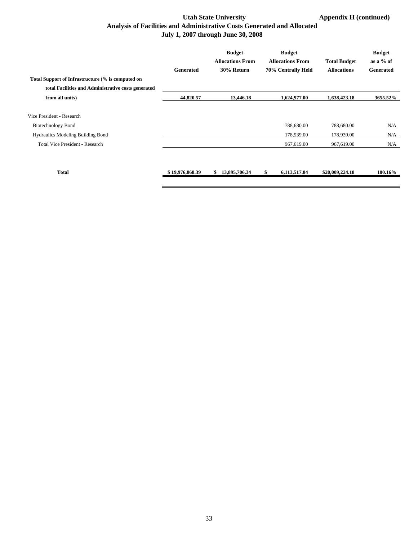#### Utah State University **Appendix H** (continued) **Analysis of Facilities and Administrative Costs Generated and Allocated July 1, 2007 through June 30, 2008**

|                                                                                                    | <b>Generated</b> | <b>Budget</b><br><b>Allocations From</b><br>30% Return | <b>Budget</b><br><b>Allocations From</b><br>70% Centrally Held | <b>Total Budget</b><br><b>Allocations</b> | <b>Budget</b><br>as a $%$ of<br><b>Generated</b> |
|----------------------------------------------------------------------------------------------------|------------------|--------------------------------------------------------|----------------------------------------------------------------|-------------------------------------------|--------------------------------------------------|
| Total Support of Infrastructure (% is computed on                                                  |                  |                                                        |                                                                |                                           |                                                  |
| total Facilities and Administrative costs generated                                                |                  |                                                        |                                                                |                                           |                                                  |
| from all units)                                                                                    | 44,820.57        | 13,446.18                                              | 1,624,977.00                                                   | 1,638,423.18                              | 3655.52%                                         |
| Vice President - Research<br><b>Biotechnology Bond</b><br><b>Hydraulics Modeling Building Bond</b> |                  |                                                        | 788,680.00<br>178,939.00                                       | 788,680.00<br>178,939.00                  | N/A<br>N/A                                       |
| Total Vice President - Research                                                                    |                  |                                                        | 967,619.00                                                     | 967,619.00                                | N/A                                              |
| <b>Total</b>                                                                                       | \$19,976,868.39  | 13,895,706.34<br>\$                                    | \$<br>6,113,517.84                                             | \$20,009,224.18                           | 100.16%                                          |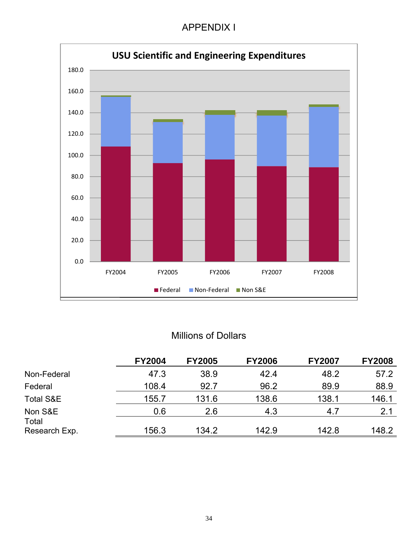## APPENDIX I



# Millions of Dollars

|                        | <b>FY2004</b> | <b>FY2005</b> | <b>FY2006</b> | <b>FY2007</b> | <b>FY2008</b> |
|------------------------|---------------|---------------|---------------|---------------|---------------|
| Non-Federal            | 47.3          | 38.9          | 42.4          | 48.2          | 57.2          |
| Federal                | 108.4         | 92.7          | 96.2          | 89.9          | 88.9          |
| Total S&E              | 155.7         | 131.6         | 138.6         | 138.1         | 146.1         |
| Non S&E                | 0.6           | 2.6           | 4.3           | 4.7           | 2.1           |
| Total<br>Research Exp. | 156.3         | 134.2         | 142.9         | 142.8         | 148.2         |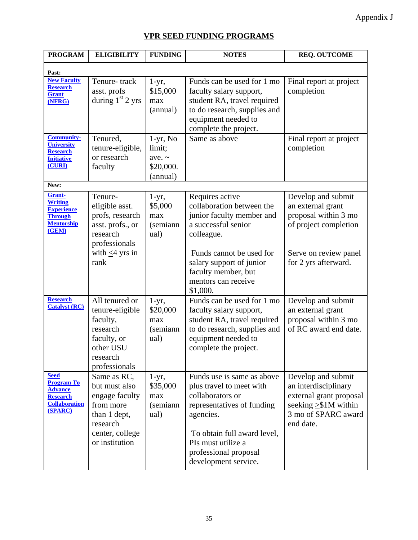## **VPR SEED FUNDING PROGRAMS**

| <b>PROGRAM</b>                                                                                           | <b>ELIGIBILITY</b>                                                                                                           | <b>FUNDING</b>                                                | <b>NOTES</b>                                                                                                                                                                                                                | <b>REQ. OUTCOME</b>                                                                                                                     |
|----------------------------------------------------------------------------------------------------------|------------------------------------------------------------------------------------------------------------------------------|---------------------------------------------------------------|-----------------------------------------------------------------------------------------------------------------------------------------------------------------------------------------------------------------------------|-----------------------------------------------------------------------------------------------------------------------------------------|
| Past:                                                                                                    |                                                                                                                              |                                                               |                                                                                                                                                                                                                             |                                                                                                                                         |
| <b>New Faculty</b><br><b>Research</b><br><b>Grant</b><br>(NFRG)                                          | Tenure-track<br>asst. profs<br>during $1st 2$ yrs                                                                            | $1-yr$ ,<br>\$15,000<br>max<br>(annual)                       | Funds can be used for 1 mo<br>faculty salary support,<br>student RA, travel required<br>to do research, supplies and<br>equipment needed to<br>complete the project.                                                        | Final report at project<br>completion                                                                                                   |
| <b>Community-</b><br><b>University</b><br><b>Research</b><br><b>Initiative</b><br>(CURI)                 | Tenured,<br>tenure-eligible,<br>or research<br>faculty                                                                       | $1-yr$ , No<br>limit;<br>ave. $\sim$<br>\$20,000.<br>(annual) | Same as above                                                                                                                                                                                                               | Final report at project<br>completion                                                                                                   |
| New:                                                                                                     |                                                                                                                              |                                                               |                                                                                                                                                                                                                             |                                                                                                                                         |
| <b>Grant-</b><br><b>Writing</b><br><b>Experience</b><br><b>Through</b><br><b>Mentorship</b><br>(GEM)     | Tenure-<br>eligible asst.<br>profs, research<br>asst. profs., or<br>research<br>professionals                                | $1-yr$ ,<br>\$5,000<br>max<br>(semiann<br>ual)                | Requires active<br>collaboration between the<br>junior faculty member and<br>a successful senior<br>colleague.                                                                                                              | Develop and submit<br>an external grant<br>proposal within 3 mo<br>of project completion                                                |
|                                                                                                          | with $\leq$ 4 yrs in<br>rank                                                                                                 |                                                               | Funds cannot be used for<br>salary support of junior<br>faculty member, but<br>mentors can receive<br>\$1,000.                                                                                                              | Serve on review panel<br>for 2 yrs afterward.                                                                                           |
| <b>Research</b><br><b>Catalyst (RC)</b>                                                                  | All tenured or<br>tenure-eligible<br>faculty,<br>research<br>faculty, or<br>other USU<br>research<br>professionals           | $1-yr$ ,<br>\$20,000<br>max<br>(semiann<br>ual)               | Funds can be used for 1 mo<br>faculty salary support,<br>student RA, travel required<br>to do research, supplies and<br>equipment needed to<br>complete the project.                                                        | Develop and submit<br>an external grant<br>proposal within 3 mo<br>of RC award end date.                                                |
| <b>Seed</b><br><b>Program To</b><br><b>Advance</b><br><b>Research</b><br><b>Collaboration</b><br>(SPARC) | Same as RC,<br>but must also<br>engage faculty<br>from more<br>than 1 dept,<br>research<br>center, college<br>or institution | $1-yr$ ,<br>\$35,000<br>max<br>(semiann<br>ual)               | Funds use is same as above<br>plus travel to meet with<br>collaborators or<br>representatives of funding<br>agencies.<br>To obtain full award level,<br>PIs must utilize a<br>professional proposal<br>development service. | Develop and submit<br>an interdisciplinary<br>external grant proposal<br>seeking $\geq$ \$1M within<br>3 mo of SPARC award<br>end date. |